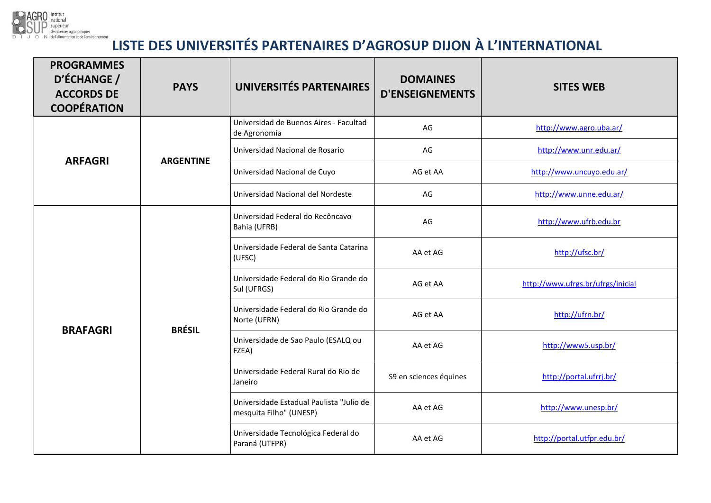

## **LISTE DES UNIVERSITÉS PARTENAIRES D'AGROSUP DIJON À L'INTERNATIONAL**

| <b>PROGRAMMES</b><br>D'ÉCHANGE /<br><b>ACCORDS DE</b><br><b>COOPÉRATION</b> | <b>PAYS</b>      | UNIVERSITÉS PARTENAIRES                                             | <b>DOMAINES</b><br><b>D'ENSEIGNEMENTS</b> | <b>SITES WEB</b>                  |
|-----------------------------------------------------------------------------|------------------|---------------------------------------------------------------------|-------------------------------------------|-----------------------------------|
| <b>ARFAGRI</b>                                                              | <b>ARGENTINE</b> | Universidad de Buenos Aires - Facultad<br>de Agronomía              | AG                                        | http://www.agro.uba.ar/           |
|                                                                             |                  | Universidad Nacional de Rosario                                     | AG                                        | http://www.unr.edu.ar/            |
|                                                                             |                  | Universidad Nacional de Cuyo                                        | AG et AA                                  | http://www.uncuyo.edu.ar/         |
|                                                                             |                  | Universidad Nacional del Nordeste                                   | AG                                        | http://www.unne.edu.ar/           |
| <b>BRAFAGRI</b>                                                             | <b>BRÉSIL</b>    | Universidad Federal do Recôncavo<br>Bahia (UFRB)                    | AG                                        | http://www.ufrb.edu.br            |
|                                                                             |                  | Universidade Federal de Santa Catarina<br>(UFSC)                    | AA et AG                                  | http://ufsc.br/                   |
|                                                                             |                  | Universidade Federal do Rio Grande do<br>Sul (UFRGS)                | AG et AA                                  | http://www.ufrgs.br/ufrgs/inicial |
|                                                                             |                  | Universidade Federal do Rio Grande do<br>Norte (UFRN)               | AG et AA                                  | http://ufrn.br/                   |
|                                                                             |                  | Universidade de Sao Paulo (ESALQ ou<br>FZEA)                        | AA et AG                                  | http://www5.usp.br/               |
|                                                                             |                  | Universidade Federal Rural do Rio de<br>Janeiro                     | S9 en sciences équines                    | http://portal.ufrrj.br/           |
|                                                                             |                  | Universidade Estadual Paulista "Julio de<br>mesquita Filho" (UNESP) | AA et AG                                  | http://www.unesp.br/              |
|                                                                             |                  | Universidade Tecnológica Federal do<br>Paraná (UTFPR)               | AA et AG                                  | http://portal.utfpr.edu.br/       |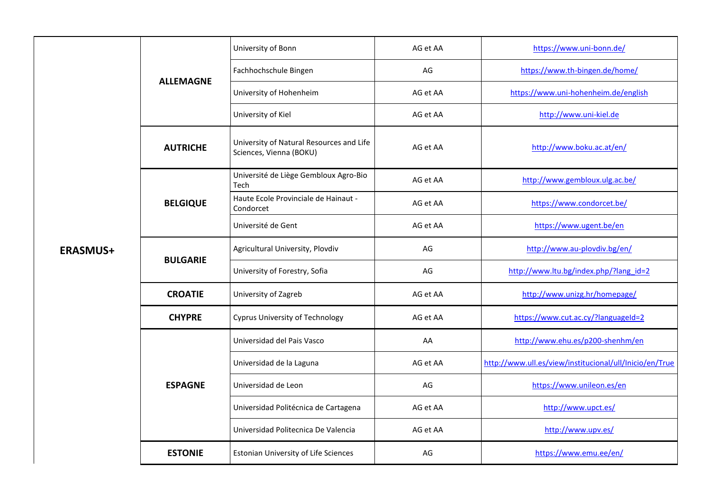| <b>ERASMUS+</b> | <b>ALLEMAGNE</b> | University of Bonn                                                  | AG et AA | https://www.uni-bonn.de/                                |
|-----------------|------------------|---------------------------------------------------------------------|----------|---------------------------------------------------------|
|                 |                  | Fachhochschule Bingen                                               | AG       | https://www.th-bingen.de/home/                          |
|                 |                  | University of Hohenheim                                             | AG et AA | https://www.uni-hohenheim.de/english                    |
|                 |                  | University of Kiel                                                  | AG et AA | http://www.uni-kiel.de                                  |
|                 | <b>AUTRICHE</b>  | University of Natural Resources and Life<br>Sciences, Vienna (BOKU) | AG et AA | http://www.boku.ac.at/en/                               |
|                 | <b>BELGIQUE</b>  | Université de Liège Gembloux Agro-Bio<br>Tech                       | AG et AA | http://www.gembloux.ulg.ac.be/                          |
|                 |                  | Haute Ecole Provinciale de Hainaut -<br>Condorcet                   | AG et AA | https://www.condorcet.be/                               |
|                 |                  | Université de Gent                                                  | AG et AA | https://www.ugent.be/en                                 |
|                 | <b>BULGARIE</b>  | Agricultural University, Plovdiv                                    | AG       | http://www.au-plovdiv.bg/en/                            |
|                 |                  | University of Forestry, Sofia                                       | AG       | http://www.ltu.bg/index.php/?lang_id=2                  |
|                 | <b>CROATIE</b>   | University of Zagreb                                                | AG et AA | http://www.unizg.hr/homepage/                           |
|                 | <b>CHYPRE</b>    | <b>Cyprus University of Technology</b>                              | AG et AA | https://www.cut.ac.cy/?languageId=2                     |
|                 | <b>ESPAGNE</b>   | Universidad del Pais Vasco                                          | AA       | http://www.ehu.es/p200-shenhm/en                        |
|                 |                  | Universidad de la Laguna                                            | AG et AA | http://www.ull.es/view/institucional/ull/Inicio/en/True |
|                 |                  | Universidad de Leon                                                 | AG       | https://www.unileon.es/en                               |
|                 |                  | Universidad Politécnica de Cartagena                                | AG et AA | http://www.upct.es/                                     |
|                 |                  | Universidad Politecnica De Valencia                                 | AG et AA | http://www.upv.es/                                      |
|                 | <b>ESTONIE</b>   | Estonian University of Life Sciences                                | AG       | https://www.emu.ee/en/                                  |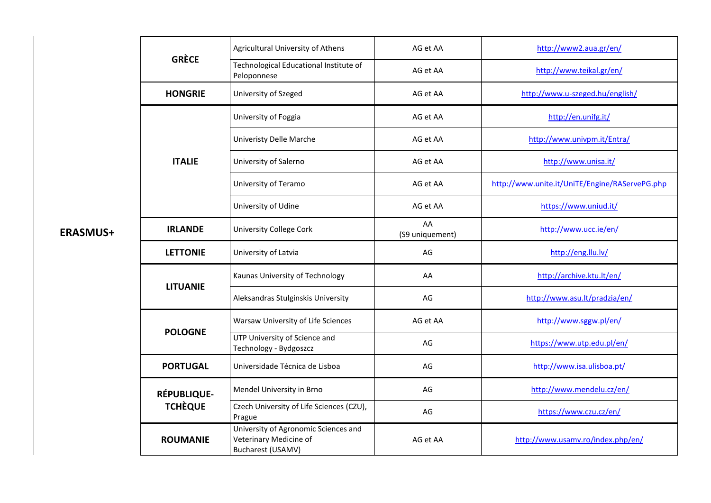|                                      | Agricultural University of Athens                                                   | AG et AA              | http://www2.aua.gr/en/                         |  |
|--------------------------------------|-------------------------------------------------------------------------------------|-----------------------|------------------------------------------------|--|
| <b>GRÈCE</b>                         | Technological Educational Institute of<br>Peloponnese                               | AG et AA              | http://www.teikal.gr/en/                       |  |
| <b>HONGRIE</b>                       | University of Szeged                                                                | AG et AA              | http://www.u-szeged.hu/english/                |  |
| <b>ITALIE</b>                        | University of Foggia                                                                | AG et AA              | http://en.unifg.it/                            |  |
|                                      | <b>Univeristy Delle Marche</b>                                                      | AG et AA              | http://www.univpm.it/Entra/                    |  |
|                                      | University of Salerno                                                               | AG et AA              | http://www.unisa.it/                           |  |
|                                      | University of Teramo                                                                | AG et AA              | http://www.unite.it/UniTE/Engine/RAServePG.php |  |
|                                      | University of Udine                                                                 | AG et AA              | https://www.uniud.it/                          |  |
| <b>IRLANDE</b>                       | <b>University College Cork</b>                                                      | AA<br>(S9 uniquement) | http://www.ucc.ie/en/                          |  |
| <b>LETTONIE</b>                      | University of Latvia                                                                | AG                    | http://eng.llu.lv/                             |  |
| <b>LITUANIE</b>                      | Kaunas University of Technology                                                     | AA                    | http://archive.ktu.lt/en/                      |  |
|                                      | Aleksandras Stulginskis University                                                  | AG                    | http://www.asu.lt/pradzia/en/                  |  |
| <b>POLOGNE</b>                       | Warsaw University of Life Sciences                                                  | AG et AA              | http://www.sggw.pl/en/                         |  |
|                                      | UTP University of Science and<br>Technology - Bydgoszcz                             | AG                    | https://www.utp.edu.pl/en/                     |  |
| <b>PORTUGAL</b>                      | Universidade Técnica de Lisboa                                                      | AG                    | http://www.isa.ulisboa.pt/                     |  |
| <b>RÉPUBLIQUE-</b><br><b>TCHÈQUE</b> | Mendel University in Brno                                                           | AG                    | http://www.mendelu.cz/en/                      |  |
|                                      | Czech University of Life Sciences (CZU),<br>Prague                                  | AG                    | https://www.czu.cz/en/                         |  |
| <b>ROUMANIE</b>                      | University of Agronomic Sciences and<br>Veterinary Medicine of<br>Bucharest (USAMV) | AG et AA              | http://www.usamv.ro/index.php/en/              |  |

**ERASMUS+**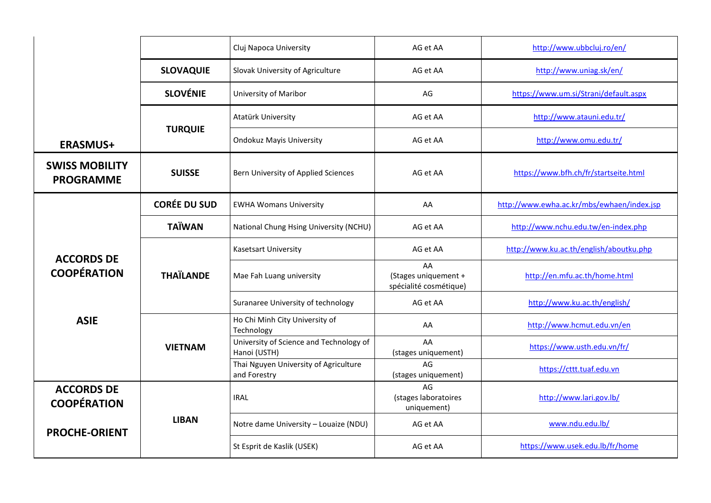|                                           |                     | Cluj Napoca University<br>AG et AA                      |                                                      | http://www.ubbcluj.ro/en/                  |
|-------------------------------------------|---------------------|---------------------------------------------------------|------------------------------------------------------|--------------------------------------------|
|                                           | <b>SLOVAQUIE</b>    | Slovak University of Agriculture                        | AG et AA                                             | http://www.uniag.sk/en/                    |
|                                           | <b>SLOVÉNIE</b>     | University of Maribor                                   | AG                                                   | https://www.um.si/Strani/default.aspx      |
|                                           |                     | Atatürk University                                      | AG et AA                                             | http://www.atauni.edu.tr/                  |
| <b>ERASMUS+</b>                           | <b>TURQUIE</b>      | <b>Ondokuz Mayis University</b>                         | AG et AA                                             | http://www.omu.edu.tr/                     |
| <b>SWISS MOBILITY</b><br><b>PROGRAMME</b> | <b>SUISSE</b>       | Bern University of Applied Sciences                     | AG et AA                                             | https://www.bfh.ch/fr/startseite.html      |
|                                           | <b>CORÉE DU SUD</b> | <b>EWHA Womans University</b>                           | AA                                                   | http://www.ewha.ac.kr/mbs/ewhaen/index.jsp |
| <b>ACCORDS DE</b><br><b>COOPÉRATION</b>   | <b>TAÏWAN</b>       | National Chung Hsing University (NCHU)                  | AG et AA                                             | http://www.nchu.edu.tw/en-index.php        |
|                                           | <b>THAÏLANDE</b>    | Kasetsart University                                    | AG et AA                                             | http://www.ku.ac.th/english/aboutku.php    |
|                                           |                     | Mae Fah Luang university                                | AA<br>(Stages uniquement +<br>spécialité cosmétique) | http://en.mfu.ac.th/home.html              |
|                                           |                     | Suranaree University of technology                      | AG et AA                                             | http://www.ku.ac.th/english/               |
| <b>ASIE</b>                               |                     | Ho Chi Minh City University of<br>Technology            | AA                                                   | http://www.hcmut.edu.vn/en                 |
|                                           | <b>VIETNAM</b>      | University of Science and Technology of<br>Hanoi (USTH) | AA<br>(stages uniquement)                            | https://www.usth.edu.vn/fr/                |
|                                           |                     | Thai Nguyen University of Agriculture<br>and Forestry   | AG<br>(stages uniquement)                            | https://cttt.tuaf.edu.vn                   |
| <b>ACCORDS DE</b><br><b>COOPÉRATION</b>   |                     | <b>IRAL</b>                                             | AG<br>(stages laboratoires<br>uniquement)            | http://www.lari.gov.lb/                    |
| <b>PROCHE-ORIENT</b>                      | <b>LIBAN</b>        | Notre dame University - Louaize (NDU)                   | AG et AA                                             | www.ndu.edu.lb/                            |
|                                           |                     | St Esprit de Kaslik (USEK)                              | AG et AA                                             | https://www.usek.edu.lb/fr/home            |